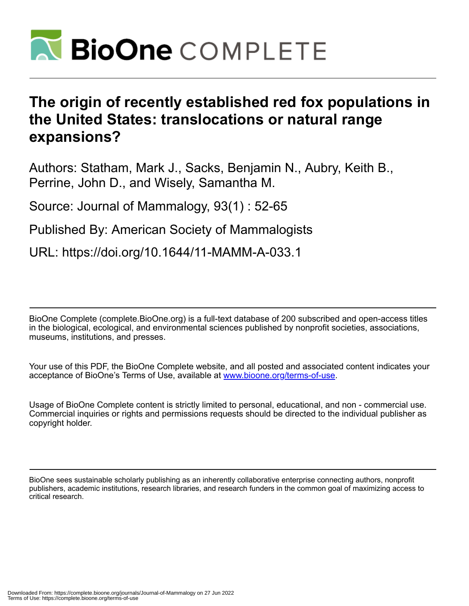

# **The origin of recently established red fox populations in the United States: translocations or natural range expansions?**

Authors: Statham, Mark J., Sacks, Benjamin N., Aubry, Keith B., Perrine, John D., and Wisely, Samantha M.

Source: Journal of Mammalogy, 93(1) : 52-65

Published By: American Society of Mammalogists

URL: https://doi.org/10.1644/11-MAMM-A-033.1

BioOne Complete (complete.BioOne.org) is a full-text database of 200 subscribed and open-access titles in the biological, ecological, and environmental sciences published by nonprofit societies, associations, museums, institutions, and presses.

Your use of this PDF, the BioOne Complete website, and all posted and associated content indicates your acceptance of BioOne's Terms of Use, available at www.bioone.org/terms-of-use.

Usage of BioOne Complete content is strictly limited to personal, educational, and non - commercial use. Commercial inquiries or rights and permissions requests should be directed to the individual publisher as copyright holder.

BioOne sees sustainable scholarly publishing as an inherently collaborative enterprise connecting authors, nonprofit publishers, academic institutions, research libraries, and research funders in the common goal of maximizing access to critical research.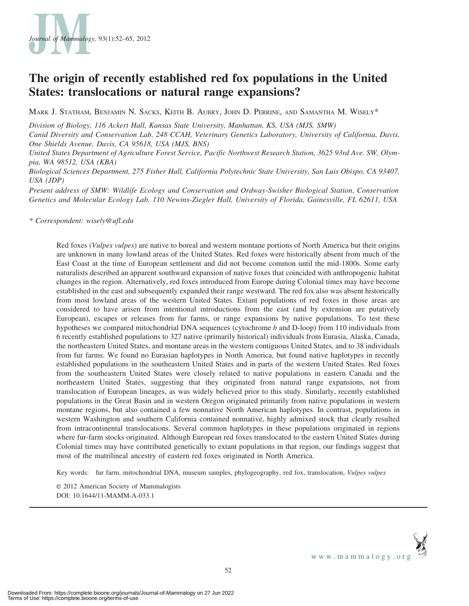

# The origin of recently established red fox populations in the United States: translocations or natural range expansions?

MARK J. STATHAM, BENJAMIN N. SACKS, KEITH B. AUBRY, JOHN D. PERRINE, AND SAMANTHA M. WISELY\*

Division of Biology, 116 Ackert Hall, Kansas State University, Manhattan, KS, USA (MJS, SMW)

Canid Diversity and Conservation Lab, 248 CCAH, Veterinary Genetics Laboratory, University of California, Davis, One Shields Avenue, Davis, CA 95618, USA (MJS, BNS)

United States Department of Agriculture Forest Service, Pacific Northwest Research Station, 3625 93rd Ave. SW, Olympia, WA 98512, USA (KBA)

Biological Sciences Department, 275 Fisher Hall, California Polytechnic State University, San Luis Obispo, CA 93407, USA (JDP)

Present address of SMW: Wildlife Ecology and Conservation and Ordway-Swisher Biological Station, Conservation Genetics and Molecular Ecology Lab, 110 Newins-Ziegler Hall, University of Florida, Gainesville, FL 62611, USA

\* Correspondent: wisely@ufl.edu

Red foxes (*Vulpes vulpes*) are native to boreal and western montane portions of North America but their origins are unknown in many lowland areas of the United States. Red foxes were historically absent from much of the East Coast at the time of European settlement and did not become common until the mid-1800s. Some early naturalists described an apparent southward expansion of native foxes that coincided with anthropogenic habitat changes in the region. Alternatively, red foxes introduced from Europe during Colonial times may have become established in the east and subsequently expanded their range westward. The red fox also was absent historically from most lowland areas of the western United States. Extant populations of red foxes in those areas are considered to have arisen from intentional introductions from the east (and by extension are putatively European), escapes or releases from fur farms, or range expansions by native populations. To test these hypotheses we compared mitochondrial DNA sequences (cytochrome  $b$  and D-loop) from 110 individuals from 6 recently established populations to 327 native (primarily historical) individuals from Eurasia, Alaska, Canada, the northeastern United States, and montane areas in the western contiguous United States, and to 38 individuals from fur farms. We found no Eurasian haplotypes in North America, but found native haplotypes in recently established populations in the southeastern United States and in parts of the western United States. Red foxes from the southeastern United States were closely related to native populations in eastern Canada and the northeastern United States, suggesting that they originated from natural range expansions, not from translocation of European lineages, as was widely believed prior to this study. Similarly, recently established populations in the Great Basin and in western Oregon originated primarily from native populations in western montane regions, but also contained a few nonnative North American haplotypes. In contrast, populations in western Washington and southern California contained nonnative, highly admixed stock that clearly resulted from intracontinental translocations. Several common haplotypes in these populations originated in regions where fur-farm stocks originated. Although European red foxes translocated to the eastern United States during Colonial times may have contributed genetically to extant populations in that region, our findings suggest that most of the matrilineal ancestry of eastern red foxes originated in North America.

Key words: fur farm, mitochondrial DNA, museum samples, phylogeography, red fox, translocation, Vulpes vulpes

E 2012 American Society of Mammalogists DOI: 10.1644/11-MAMM-A-033.1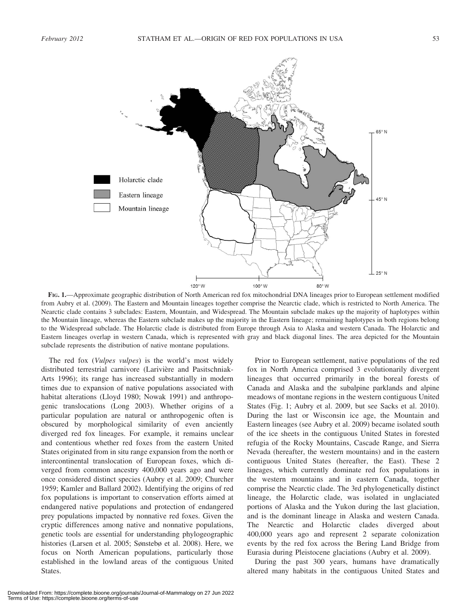

FIG. 1.—Approximate geographic distribution of North American red fox mitochondrial DNA lineages prior to European settlement modified from Aubry et al. (2009). The Eastern and Mountain lineages together comprise the Nearctic clade, which is restricted to North America. The Nearctic clade contains 3 subclades: Eastern, Mountain, and Widespread. The Mountain subclade makes up the majority of haplotypes within the Mountain lineage, whereas the Eastern subclade makes up the majority in the Eastern lineage; remaining haplotypes in both regions belong to the Widespread subclade. The Holarctic clade is distributed from Europe through Asia to Alaska and western Canada. The Holarctic and Eastern lineages overlap in western Canada, which is represented with gray and black diagonal lines. The area depicted for the Mountain subclade represents the distribution of native montane populations.

The red fox (*Vulpes vulpes*) is the world's most widely distributed terrestrial carnivore (Larivière and Pasitschniak-Arts 1996); its range has increased substantially in modern times due to expansion of native populations associated with habitat alterations (Lloyd 1980; Nowak 1991) and anthropogenic translocations (Long 2003). Whether origins of a particular population are natural or anthropogenic often is obscured by morphological similarity of even anciently diverged red fox lineages. For example, it remains unclear and contentious whether red foxes from the eastern United States originated from in situ range expansion from the north or intercontinental translocation of European foxes, which diverged from common ancestry 400,000 years ago and were once considered distinct species (Aubry et al. 2009; Churcher 1959; Kamler and Ballard 2002). Identifying the origins of red fox populations is important to conservation efforts aimed at endangered native populations and protection of endangered prey populations impacted by nonnative red foxes. Given the cryptic differences among native and nonnative populations, genetic tools are essential for understanding phylogeographic histories (Larsen et al. 2005; Sønstebø et al. 2008). Here, we focus on North American populations, particularly those established in the lowland areas of the contiguous United States.

Prior to European settlement, native populations of the red fox in North America comprised 3 evolutionarily divergent lineages that occurred primarily in the boreal forests of Canada and Alaska and the subalpine parklands and alpine meadows of montane regions in the western contiguous United States (Fig. 1; Aubry et al. 2009, but see Sacks et al. 2010). During the last or Wisconsin ice age, the Mountain and Eastern lineages (see Aubry et al. 2009) became isolated south of the ice sheets in the contiguous United States in forested refugia of the Rocky Mountains, Cascade Range, and Sierra Nevada (hereafter, the western mountains) and in the eastern contiguous United States (hereafter, the East). These 2 lineages, which currently dominate red fox populations in the western mountains and in eastern Canada, together comprise the Nearctic clade. The 3rd phylogenetically distinct lineage, the Holarctic clade, was isolated in unglaciated portions of Alaska and the Yukon during the last glaciation, and is the dominant lineage in Alaska and western Canada. The Nearctic and Holarctic clades diverged about 400,000 years ago and represent 2 separate colonization events by the red fox across the Bering Land Bridge from Eurasia during Pleistocene glaciations (Aubry et al. 2009).

During the past 300 years, humans have dramatically altered many habitats in the contiguous United States and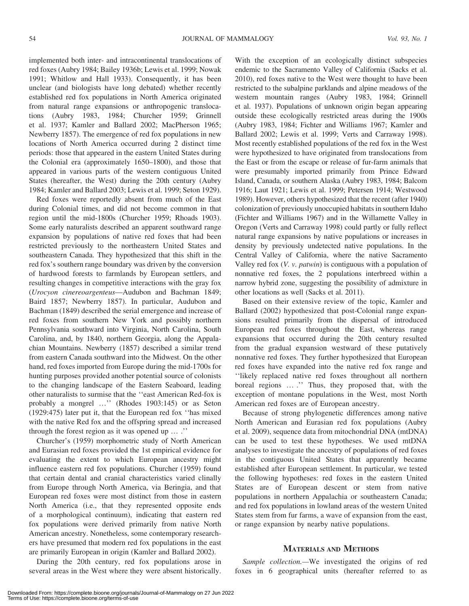implemented both inter- and intracontinental translocations of red foxes (Aubry 1984; Bailey 1936b; Lewis et al. 1999; Nowak 1991; Whitlow and Hall 1933). Consequently, it has been unclear (and biologists have long debated) whether recently established red fox populations in North America originated from natural range expansions or anthropogenic translocations (Aubry 1983, 1984; Churcher 1959; Grinnell et al. 1937; Kamler and Ballard 2002; MacPherson 1965; Newberry 1857). The emergence of red fox populations in new locations of North America occurred during 2 distinct time periods: those that appeared in the eastern United States during the Colonial era (approximately 1650–1800), and those that appeared in various parts of the western contiguous United States (hereafter, the West) during the 20th century (Aubry 1984; Kamler and Ballard 2003; Lewis et al. 1999; Seton 1929).

Red foxes were reportedly absent from much of the East during Colonial times, and did not become common in that region until the mid-1800s (Churcher 1959; Rhoads 1903). Some early naturalists described an apparent southward range expansion by populations of native red foxes that had been restricted previously to the northeastern United States and southeastern Canada. They hypothesized that this shift in the red fox's southern range boundary was driven by the conversion of hardwood forests to farmlands by European settlers, and resulting changes in competitive interactions with the gray fox (Urocyon cinereoargenteus—Audubon and Bachman 1849; Baird 1857; Newberry 1857). In particular, Audubon and Bachman (1849) described the serial emergence and increase of red foxes from southern New York and possibly northern Pennsylvania southward into Virginia, North Carolina, South Carolina, and, by 1840, northern Georgia, along the Appalachian Mountains. Newberry (1857) described a similar trend from eastern Canada southward into the Midwest. On the other hand, red foxes imported from Europe during the mid-1700s for hunting purposes provided another potential source of colonists to the changing landscape of the Eastern Seaboard, leading other naturalists to surmise that the ''east American Red-fox is probably a mongrel …'' (Rhodes 1903:145) or as Seton (1929:475) later put it, that the European red fox ''has mixed with the native Red fox and the offspring spread and increased through the forest region as it was opened up … .''

Churcher's (1959) morphometric study of North American and Eurasian red foxes provided the 1st empirical evidence for evaluating the extent to which European ancestry might influence eastern red fox populations. Churcher (1959) found that certain dental and cranial characteristics varied clinally from Europe through North America, via Beringia, and that European red foxes were most distinct from those in eastern North America (i.e., that they represented opposite ends of a morphological continuum), indicating that eastern red fox populations were derived primarily from native North American ancestry. Nonetheless, some contemporary researchers have presumed that modern red fox populations in the east are primarily European in origin (Kamler and Ballard 2002).

During the 20th century, red fox populations arose in several areas in the West where they were absent historically. With the exception of an ecologically distinct subspecies endemic to the Sacramento Valley of California (Sacks et al. 2010), red foxes native to the West were thought to have been restricted to the subalpine parklands and alpine meadows of the western mountain ranges (Aubry 1983, 1984; Grinnell et al. 1937). Populations of unknown origin began appearing outside these ecologically restricted areas during the 1900s (Aubry 1983, 1984; Fichter and Williams 1967; Kamler and Ballard 2002; Lewis et al. 1999; Verts and Carraway 1998). Most recently established populations of the red fox in the West were hypothesized to have originated from translocations from the East or from the escape or release of fur-farm animals that were presumably imported primarily from Prince Edward Island, Canada, or southern Alaska (Aubry 1983, 1984; Balcom 1916; Laut 1921; Lewis et al. 1999; Petersen 1914; Westwood 1989). However, others hypothesized that the recent (after 1940) colonization of previously unoccupied habitats in southern Idaho (Fichter and Williams 1967) and in the Willamette Valley in Oregon (Verts and Carraway 1998) could partly or fully reflect natural range expansions by native populations or increases in density by previously undetected native populations. In the Central Valley of California, where the native Sacramento Valley red fox (V. v. patwin) is contiguous with a population of nonnative red foxes, the 2 populations interbreed within a narrow hybrid zone, suggesting the possibility of admixture in other locations as well (Sacks et al. 2011).

Based on their extensive review of the topic, Kamler and Ballard (2002) hypothesized that post-Colonial range expansions resulted primarily from the dispersal of introduced European red foxes throughout the East, whereas range expansions that occurred during the 20th century resulted from the gradual expansion westward of these putatively nonnative red foxes. They further hypothesized that European red foxes have expanded into the native red fox range and ''likely replaced native red foxes throughout all northern boreal regions … .'' Thus, they proposed that, with the exception of montane populations in the West, most North American red foxes are of European ancestry.

Because of strong phylogenetic differences among native North American and Eurasian red fox populations (Aubry et al. 2009), sequence data from mitochondrial DNA (mtDNA) can be used to test these hypotheses. We used mtDNA analyses to investigate the ancestry of populations of red foxes in the contiguous United States that apparently became established after European settlement. In particular, we tested the following hypotheses: red foxes in the eastern United States are of European descent or stem from native populations in northern Appalachia or southeastern Canada; and red fox populations in lowland areas of the western United States stem from fur farms, a wave of expansion from the east, or range expansion by nearby native populations.

# MATERIALS AND METHODS

Sample collection.—We investigated the origins of red foxes in 6 geographical units (hereafter referred to as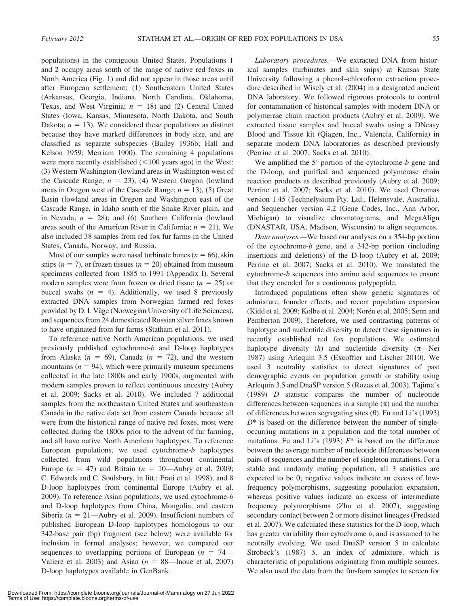populations) in the contiguous United States. Populations 1 and 2 occupy areas south of the range of native red foxes in North America (Fig. 1) and did not appear in those areas until after European settlement: (1) Southeastern United States (Arkansas, Georgia, Indiana, North Carolina, Oklahoma, Texas, and West Virginia;  $n = 18$ ) and (2) Central United States (Iowa, Kansas, Minnesota, North Dakota, and South Dakota;  $n = 13$ ). We considered these populations as distinct because they have marked differences in body size, and are classified as separate subspecies (Bailey 1936b; Hall and Kelson 1959; Merriam 1900). The remaining 4 populations were more recently established  $(<100$  years ago) in the West: (3) Western Washington (lowland areas in Washington west of the Cascade Range;  $n = 23$ ), (4) Western Oregon (lowland areas in Oregon west of the Cascade Range;  $n = 13$ ), (5) Great Basin (lowland areas in Oregon and Washington east of the Cascade Range, in Idaho south of the Snake River plain, and in Nevada;  $n = 28$ ); and (6) Southern California (lowland areas south of the American River in California;  $n = 21$ ). We also included 38 samples from red fox fur farms in the United States, Canada, Norway, and Russia.

Most of our samples were nasal turbinate bones ( $n = 66$ ), skin snips ( $n = 7$ ), or frozen tissues ( $n = 20$ ) obtained from museum specimens collected from 1885 to 1991 (Appendix I). Several modern samples were from frozen or dried tissue ( $n = 25$ ) or buccal swabs  $(n = 4)$ . Additionally, we used 8 previously extracted DNA samples from Norwegian farmed red foxes provided by D. I. Våge (Norwegian University of Life Sciences), and sequences from 24 domesticated Russian silver foxes known to have originated from fur farms (Statham et al. 2011).

To reference native North American populations, we used previously published cytochrome-b and D-loop haplotypes from Alaska ( $n = 69$ ), Canada ( $n = 72$ ), and the western mountains ( $n = 94$ ), which were primarily museum specimens collected in the late 1800s and early 1900s, augmented with modern samples proven to reflect continuous ancestry (Aubry et al. 2009; Sacks et al. 2010). We included 7 additional samples from the northeastern United States and southeastern Canada in the native data set from eastern Canada because all were from the historical range of native red foxes, most were collected during the 1800s prior to the advent of fur farming, and all have native North American haplotypes. To reference European populations, we used cytochrome- $b$  haplotypes collected from wild populations throughout continental Europe ( $n = 47$ ) and Britain ( $n = 10$ —Aubry et al. 2009; C. Edwards and C. Soulsbury, in litt.; Frati et al. 1998), and 8 D-loop haplotypes from continental Europe (Aubry et al. 2009). To reference Asian populations, we used cytochrome-b and D-loop haplotypes from China, Mongolia, and eastern Siberia ( $n = 21$ —Aubry et al. 2009). Insufficient numbers of published European D-loop haplotypes homologous to our 342-base pair (bp) fragment (see below) were available for inclusion in formal analyses; however, we compared our sequences to overlapping portions of European ( $n = 74$ — Valiere et al. 2003) and Asian  $(n = 88$ —Inoue et al. 2007) D-loop haplotypes available in GenBank.

Laboratory procedures.—We extracted DNA from historical samples (turbinates and skin snips) at Kansas State University following a phenol–chloroform extraction procedure described in Wisely et al. (2004) in a designated ancient DNA laboratory. We followed rigorous protocols to control for contamination of historical samples with modern DNA or polymerase chain reaction products (Aubry et al. 2009). We extracted tissue samples and buccal swabs using a DNeasy Blood and Tissue kit (Qiagen, Inc., Valencia, California) in separate modern DNA laboratories as described previously (Perrine et al. 2007; Sacks et al. 2010).

We amplified the  $5'$  portion of the cytochrome- $b$  gene and the D-loop, and purified and sequenced polymerase chain reaction products as described previously (Aubry et al. 2009; Perrine et al. 2007; Sacks et al. 2010). We used Chromas version 1.45 (Technelysium Pty. Ltd., Helensvale, Australia), and Sequencher version 4.2 (Gene Codes, Inc., Ann Arbor, Michigan) to visualize chromatograms, and MegaAlign (DNASTAR, USA, Madison, Wisconsin) to align sequences.

Data analyses.—We based our analyses on a 354-bp portion of the cytochrome-b gene, and a 342-bp portion (including insertions and deletions) of the D-loop (Aubry et al. 2009; Perrine et al. 2007; Sacks et al. 2010). We translated the cytochrome-b sequences into amino acid sequences to ensure that they encoded for a continuous polypeptide.

Introduced populations often show genetic signatures of admixture, founder effects, and recent population expansion (Kidd et al. 2009; Kolbe et al. 2004; Norén et al. 2005; Senn and Pemberton 2009). Therefore, we used contrasting patterns of haplotype and nucleotide diversity to detect these signatures in recently established red fox populations. We estimated haplotype diversity  $(h)$  and nucleotide diversity  $(\pi$ —Nei 1987) using Arlequin 3.5 (Excoffier and Lischer 2010). We used 3 neutrality statistics to detect signatures of past demographic events on population growth or stability using Arlequin 3.5 and DnaSP version 5 (Rozas et al. 2003). Tajima's (1989) D statistic compares the number of nucleotide differences between sequences in a sample  $(\pi)$  and the number of differences between segregating sites  $(\theta)$ . Fu and Li's (1993)  $D^*$  is based on the difference between the number of singleoccurring mutations in a population and the total number of mutations. Fu and Li's (1993)  $F^*$  is based on the difference between the average number of nucleotide differences between pairs of sequences and the number of singleton mutations. For a stable and randomly mating population, all 3 statistics are expected to be 0; negative values indicate an excess of lowfrequency polymorphisms, suggesting population expansion, whereas positive values indicate an excess of intermediate frequency polymorphisms (Zhu et al. 2007), suggesting secondary contact between 2 or more distinct lineages (Fredsted et al. 2007). We calculated these statistics for the D-loop, which has greater variability than cytochrome b, and is assumed to be neutrally evolving. We used DnaSP version 5 to calculate Strobeck's (1987) S, an index of admixture, which is characteristic of populations originating from multiple sources. We also used the data from the fur-farm samples to screen for

Downloaded From: https://complete.bioone.org/journals/Journal-of-Mammalogy on 27 Jun 2022 Terms of Use: https://complete.bioone.org/terms-of-use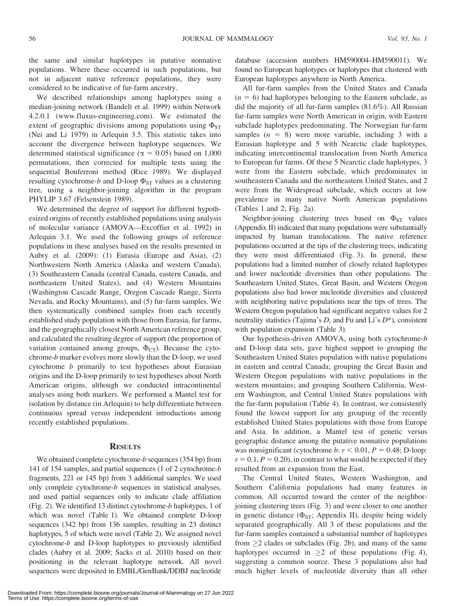the same and similar haplotypes in putative nonnative populations. Where these occurred in such populations, but not in adjacent native reference populations, they were considered to be indicative of fur-farm ancestry.

We described relationships among haplotypes using a median-joining network (Bandelt et al. 1999) within Network 4.2.0.1 (www.fluxus-engineering.com). We estimated the extent of geographic divisions among populations using  $\Phi_{ST}$ (Nei and Li 1979) in Arlequin 3.5. This statistic takes into account the divergence between haplotype sequences. We determined statistical significance ( $\alpha = 0.05$ ) based on 1,000 permutations, then corrected for multiple tests using the sequential Bonferroni method (Rice 1989). We displayed resulting cytochrome-b and D-loop  $\Phi_{ST}$  values as a clustering tree, using a neighbor-joining algorithm in the program PHYLIP 3.67 (Felsenstein 1989).

We determined the degree of support for different hypothesized origins of recently established populations using analysis of molecular variance (AMOVA—Excoffier et al. 1992) in Arlequin 3.1. We used the following groups of reference populations in these analyses based on the results presented in Aubry et al. (2009): (1) Eurasia (Europe and Asia), (2) Northwestern North America (Alaska and western Canada), (3) Southeastern Canada (central Canada, eastern Canada, and northeastern United States), and (4) Western Mountains (Washington Cascade Range, Oregon Cascade Range, Sierra Nevada, and Rocky Mountains), and (5) fur-farm samples. We then systematically combined samples from each recently established study population with those from Eurasia, fur farms, and the geographically closest North American reference group, and calculated the resulting degree of support (the proportion of variation contained among groups,  $\Phi_{CT}$ ). Because the cytochrome-b marker evolves more slowly than the D-loop, we used cytochrome b primarily to test hypotheses about Eurasian origins and the D-loop primarily to test hypotheses about North American origins, although we conducted intracontinental analyses using both markers. We performed a Mantel test for isolation by distance (in Arlequin) to help differentiate between continuous spread versus independent introductions among recently established populations.

## **RESULTS**

We obtained complete cytochrome-*b* sequences (354 bp) from 141 of 154 samples, and partial sequences (1 of 2 cytochrome-b fragments, 221 or 145 bp) from 3 additional samples. We used only complete cytochrome-b sequences in statistical analyses, and used partial sequences only to indicate clade affiliation (Fig. 2). We identified 13 distinct cytochrome-b haplotypes, 1 of which was novel (Table 1). We obtained complete D-loop sequences (342 bp) from 136 samples, resulting in 23 distinct haplotypes, 5 of which were novel (Table 2). We assigned novel cytochrome-b and D-loop haplotypes to previously identified clades (Aubry et al. 2009; Sacks et al. 2010) based on their positioning in the relevant haplotype network. All novel sequences were deposited in EMBL/GenBank/DDBJ nucleotide database (accession numbers HM590004–HM590011). We found no European haplotypes or haplotypes that clustered with European haplotypes anywhere in North America.

All fur-farm samples from the United States and Canada  $(n = 6)$  had haplotypes belonging to the Eastern subclade, as did the majority of all fur-farm samples (81.6%). All Russian fur-farm samples were North American in origin, with Eastern subclade haplotypes predominating. The Norwegian fur-farm samples  $(n = 8)$  were more variable, including 3 with a Eurasian haplotype and 5 with Nearctic clade haplotypes, indicating intercontinental translocation from North America to European fur farms. Of these 5 Nearctic clade haplotypes, 3 were from the Eastern subclade, which predominates in southeastern Canada and the northeastern United States, and 2 were from the Widespread subclade, which occurs at low prevalence in many native North American populations (Tables 1 and 2; Fig. 2a).

Neighbor-joining clustering trees based on  $\Phi_{ST}$  values (Appendix II) indicated that many populations were substantially impacted by human translocations. The native reference populations occurred at the tips of the clustering trees, indicating they were most differentiated (Fig. 3). In general, these populations had a limited number of closely related haplotypes and lower nucleotide diversities than other populations. The Southeastern United States, Great Basin, and Western Oregon populations also had lower nucleotide diversities and clustered with neighboring native populations near the tips of trees. The Western Oregon population had significant negative values for 2 neutrality statistics (Tajima's  $D$ , and Fu and Li's  $D^*$ ), consistent with population expansion (Table 3).

Our hypothesis-driven AMOVA, using both cytochrome-b and D-loop data sets, gave highest support to grouping the Southeastern United States population with native populations in eastern and central Canada; grouping the Great Basin and Western Oregon populations with native populations in the western mountains; and grouping Southern California, Western Washington, and Central United States populations with the fur-farm population (Table 4). In contrast, we consistently found the lowest support for any grouping of the recently established United States populations with those from Europe and Asia. In addition, a Mantel test of genetic versus geographic distance among the putative nonnative populations was nonsignificant (cytochrome b:  $r < 0.01$ ,  $P = 0.48$ ; D-loop:  $r = 0.1$ ,  $P = 0.20$ ), in contrast to what would be expected if they resulted from an expansion from the East.

The Central United States, Western Washington, and Southern California populations had many features in common. All occurred toward the center of the neighborjoining clustering trees (Fig. 3) and were closer to one another in genetic distance ( $\Phi_{ST}$ ; Appendix II), despite being widely separated geographically. All 3 of these populations and the fur-farm samples contained a substantial number of haplotypes from  $\geq$  2 clades or subclades (Fig. 2b), and many of the same haplotypes occurred in  $\geq 2$  of these populations (Fig. 4), suggesting a common source. These 3 populations also had much higher levels of nucleotide diversity than all other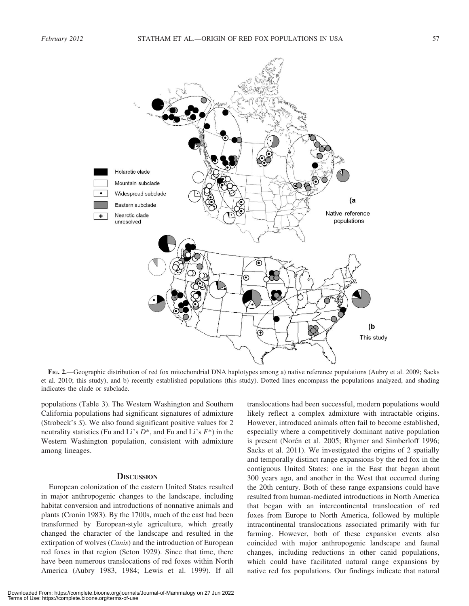

FIG. 2.—Geographic distribution of red fox mitochondrial DNA haplotypes among a) native reference populations (Aubry et al. 2009; Sacks et al. 2010; this study), and b) recently established populations (this study). Dotted lines encompass the populations analyzed, and shading indicates the clade or subclade.

populations (Table 3). The Western Washington and Southern California populations had significant signatures of admixture (Strobeck's S). We also found significant positive values for 2 neutrality statistics (Fu and Li's  $D^*$ , and Fu and Li's  $F^*$ ) in the Western Washington population, consistent with admixture among lineages.

#### **DISCUSSION**

European colonization of the eastern United States resulted in major anthropogenic changes to the landscape, including habitat conversion and introductions of nonnative animals and plants (Cronin 1983). By the 1700s, much of the east had been transformed by European-style agriculture, which greatly changed the character of the landscape and resulted in the extirpation of wolves (*Canis*) and the introduction of European red foxes in that region (Seton 1929). Since that time, there have been numerous translocations of red foxes within North America (Aubry 1983, 1984; Lewis et al. 1999). If all likely reflect a complex admixture with intractable origins. However, introduced animals often fail to become established, especially where a competitively dominant native population is present (Norén et al. 2005; Rhymer and Simberloff 1996; Sacks et al. 2011). We investigated the origins of 2 spatially and temporally distinct range expansions by the red fox in the contiguous United States: one in the East that began about 300 years ago, and another in the West that occurred during the 20th century. Both of these range expansions could have resulted from human-mediated introductions in North America that began with an intercontinental translocation of red foxes from Europe to North America, followed by multiple intracontinental translocations associated primarily with fur farming. However, both of these expansion events also coincided with major anthropogenic landscape and faunal changes, including reductions in other canid populations, which could have facilitated natural range expansions by native red fox populations. Our findings indicate that natural

translocations had been successful, modern populations would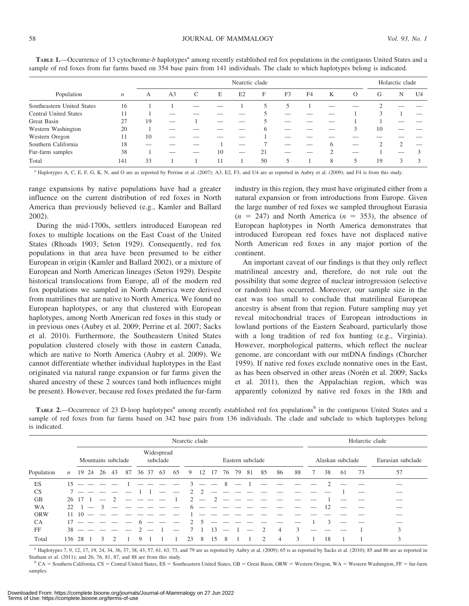Population  $n$ Nearctic clade Holarctic clade A A3 C E E2 F F3 F4 K O G N U4 Southeastern United States 16 1 1 — — 1 5 5 1 — — 2<br>Central United States 11 1 — — — 5 — — 1 3 Central United States  $11 \t 1 \t - \t - \t - \t 5 \t - \t - \t 1 \t 3 \t 1 \t -$ Great Basin 27 19 — 1 — — 5 — — — 1 1 — — Western Washington  $20 \t 1 \t - \t - \t - \t 6 \t - \t - \t 3 \t 10$ Western Oregon  $11 \t10 \t- - - - - - 1 - - - - - - - - - - - -$ Southern California 18 — — — 1 — 7 — — 6 — 2 2 — Fur-farm samples  $\begin{array}{ccccccccccccccccc}\n38 & 1 & - & - & 10 & - & 21 & - & - & 2 & - & 1 & - & 3\n\end{array}$ 

TABLE 1.—Occurrence of 13 cytochrome-b haplotypes<sup>a</sup> among recently established red fox populations in the contiguous United States and a sample of red foxes from fur farms based on 354 base pairs from 141 individuals. The clade to which haplotypes belong is indicated.

<sup>a</sup> Haplotypes A, C, E, F, G, K, N, and O are as reported by Perrine et al. (2007); A3, E2, F3, and U4 are as reported in Aubry et al. (2009); and F4 is from this study.

Total 141 33 1 1 1 1 50 5 1 8 5 19 3 3

range expansions by native populations have had a greater influence on the current distribution of red foxes in North America than previously believed (e.g., Kamler and Ballard 2002).

During the mid-1700s, settlers introduced European red foxes to multiple locations on the East Coast of the United States (Rhoads 1903; Seton 1929). Consequently, red fox populations in that area have been presumed to be either European in origin (Kamler and Ballard 2002), or a mixture of European and North American lineages (Seton 1929). Despite historical translocations from Europe, all of the modern red fox populations we sampled in North America were derived from matrilines that are native to North America. We found no European haplotypes, or any that clustered with European haplotypes, among North American red foxes in this study or in previous ones (Aubry et al. 2009; Perrine et al. 2007; Sacks et al. 2010). Furthermore, the Southeastern United States population clustered closely with those in eastern Canada, which are native to North America (Aubry et al. 2009). We cannot differentiate whether individual haplotypes in the East originated via natural range expansion or fur farms given the shared ancestry of these 2 sources (and both influences might be present). However, because red foxes predated the fur-farm

industry in this region, they must have originated either from a natural expansion or from introductions from Europe. Given the large number of red foxes we sampled throughout Eurasia  $(n = 247)$  and North America  $(n = 353)$ , the absence of European haplotypes in North America demonstrates that introduced European red foxes have not displaced native North American red foxes in any major portion of the continent.

An important caveat of our findings is that they only reflect matrilineal ancestry and, therefore, do not rule out the possibility that some degree of nuclear introgression (selective or random) has occurred. Moreover, our sample size in the east was too small to conclude that matrilineal European ancestry is absent from that region. Future sampling may yet reveal mitochondrial traces of European introductions in lowland portions of the Eastern Seaboard, particularly those with a long tradition of red fox hunting (e.g., Virginia). However, morphological patterns, which reflect the nuclear genome, are concordant with our mtDNA findings (Churcher 1959). If native red foxes exclude nonnative ones in the East, as has been observed in other areas (Norén et al. 2009; Sacks et al. 2011), then the Appalachian region, which was apparently colonized by native red foxes in the 18th and

**TABLE 2.—Occurrence of 23 D-loop haplotypes**<sup>a</sup> among recently established red fox populations<sup>b</sup> in the contiguous United States and a sample of red foxes from fur farms based on 342 base pairs from 136 individuals. The clade and subclade to which haplotypes belong is indicated.

|            |                  |    |                          |    |                    |    |       |                        |    | Nearctic clade |    |    |    |    |                  |                             |    |    |   |    |                  | Holarctic clade |                   |
|------------|------------------|----|--------------------------|----|--------------------|----|-------|------------------------|----|----------------|----|----|----|----|------------------|-----------------------------|----|----|---|----|------------------|-----------------|-------------------|
|            |                  |    |                          |    | Mountains subclade |    |       | Widespread<br>subclade |    |                |    |    |    |    | Eastern subclade |                             |    |    |   |    | Alaskan subclade |                 | Eurasian subclade |
| Population | $\boldsymbol{n}$ | 19 | 24                       | 26 | 43                 | 87 | 36 37 | 63                     | 65 | 9              | 12 | 17 | 76 | 79 | -81              | 85                          | 86 | 88 | 7 | 38 | 61               | 73              | 57                |
| ES         | 15               |    |                          |    |                    |    |       |                        |    |                |    |    | 8  |    |                  |                             |    |    |   |    |                  |                 |                   |
| <b>CS</b>  |                  |    |                          |    |                    |    |       |                        |    |                |    |    |    |    |                  |                             |    |    |   |    |                  |                 |                   |
| <b>GB</b>  | 26               |    |                          |    |                    |    |       |                        |    |                |    |    |    |    |                  |                             |    |    |   |    |                  |                 |                   |
| <b>WA</b>  | 22               |    | $\overline{\phantom{a}}$ |    |                    |    |       |                        |    | h              |    |    |    |    |                  |                             |    |    |   | 12 |                  |                 |                   |
| <b>ORW</b> | 11               | 10 |                          |    |                    |    |       |                        |    |                |    |    |    |    |                  |                             |    |    |   |    |                  |                 |                   |
| <b>CA</b>  |                  |    |                          |    |                    |    |       |                        |    | $\mathfrak{D}$ |    |    |    |    |                  |                             |    |    |   |    |                  |                 |                   |
| FF         | 38               |    |                          |    |                    |    |       |                        |    |                |    | 13 |    |    |                  | $\overline{2}$              | 4  | 3  |   |    |                  |                 | 3                 |
| Total      | 136              | 28 |                          |    |                    |    |       |                        |    | 23             | 8  | 15 | 8  |    |                  | $\mathcal{D}_{\mathcal{L}}$ | 4  | 3  |   | 18 |                  |                 | 3                 |

 $a$  Haplotypes 7, 9, 12, 17, 19, 24, 34, 36, 37, 38, 43, 57, 61, 63, 73, and 79 are as reported by Aubry et al. (2009); 65 is as reported by Sacks et al. (2010); 85 and 86 are as reported in Statham et al. (2011); and 26, 76, 81, 87, and 88 are from this study.

 $b$  CA = Southern California, CS = Central United States, ES = Southeastern United States, GB = Great Basin, ORW = Western Oregon, WA = Western Washington, FF = fur-farm samples.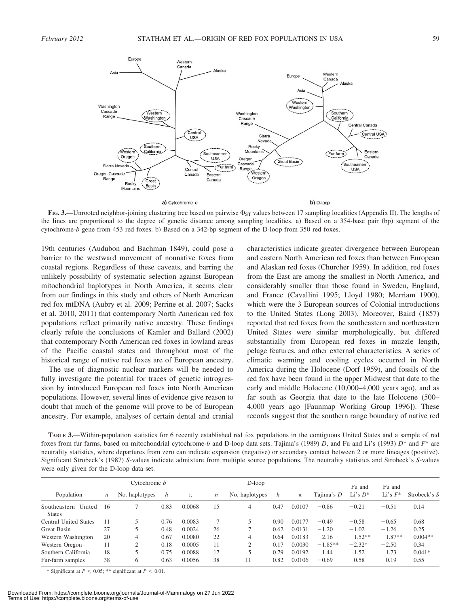

FIG. 3.—Unrooted neighbor-joining clustering tree based on pairwise  $\Phi_{ST}$  values between 17 sampling localities (Appendix II). The lengths of the lines are proportional to the degree of genetic distance among sampling localities. a) Based on a 354-base pair (bp) segment of the cytochrome-b gene from 453 red foxes. b) Based on a 342-bp segment of the D-loop from 350 red foxes.

19th centuries (Audubon and Bachman 1849), could pose a barrier to the westward movement of nonnative foxes from coastal regions. Regardless of these caveats, and barring the unlikely possibility of systematic selection against European mitochondrial haplotypes in North America, it seems clear from our findings in this study and others of North American red fox mtDNA (Aubry et al. 2009; Perrine et al. 2007; Sacks et al. 2010, 2011) that contemporary North American red fox populations reflect primarily native ancestry. These findings clearly refute the conclusions of Kamler and Ballard (2002) that contemporary North American red foxes in lowland areas of the Pacific coastal states and throughout most of the historical range of native red foxes are of European ancestry.

The use of diagnostic nuclear markers will be needed to fully investigate the potential for traces of genetic introgression by introduced European red foxes into North American populations. However, several lines of evidence give reason to doubt that much of the genome will prove to be of European ancestry. For example, analyses of certain dental and cranial

characteristics indicate greater divergence between European and eastern North American red foxes than between European and Alaskan red foxes (Churcher 1959). In addition, red foxes from the East are among the smallest in North America, and considerably smaller than those found in Sweden, England, and France (Cavallini 1995; Lloyd 1980; Merriam 1900), which were the 3 European sources of Colonial introductions to the United States (Long 2003). Moreover, Baird (1857) reported that red foxes from the southeastern and northeastern United States were similar morphologically, but differed substantially from European red foxes in muzzle length, pelage features, and other external characteristics. A series of climatic warming and cooling cycles occurred in North America during the Holocene (Dorf 1959), and fossils of the red fox have been found in the upper Midwest that date to the early and middle Holocene (10,000–4,000 years ago), and as far south as Georgia that date to the late Holocene (500– 4,000 years ago [Faunmap Working Group 1996]). These records suggest that the southern range boundary of native red

TABLE 3.—Within-population statistics for 6 recently established red fox populations in the contiguous United States and a sample of red foxes from fur farms, based on mitochondrial cytochrome-b and D-loop data sets. Tajima's (1989) D, and Fu and Li's (1993) D\* and F\* are neutrality statistics, where departures from zero can indicate expansion (negative) or secondary contact between 2 or more lineages (positive). Significant Strobeck's (1987) S-values indicate admixture from multiple source populations. The neutrality statistics and Strobeck's S-values were only given for the D-loop data set.

|                                         |                  | Cytochrome <i>b</i> |                  |        |                  | $D-loop$       |      |        |            | Fu and     | Fu and     |              |
|-----------------------------------------|------------------|---------------------|------------------|--------|------------------|----------------|------|--------|------------|------------|------------|--------------|
| Population                              | $\boldsymbol{n}$ | No. haplotypes      | $\boldsymbol{h}$ | π      | $\boldsymbol{n}$ | No. haplotypes | h    | π      | Tajima's D | Li's $D^*$ | Li's $F^*$ | Strobeck's S |
| United<br>Southeastern<br><b>States</b> | 16               |                     | 0.83             | 0.0068 | 15               | 4              | 0.47 | 0.0107 | $-0.86$    | $-0.21$    | $-0.51$    | 0.14         |
| Central United States                   | 11               |                     | 0.76             | 0.0083 |                  |                | 0.90 | 0.0177 | $-0.49$    | $-0.58$    | $-0.65$    | 0.68         |
| <b>Great Basin</b>                      | 27               |                     | 0.48             | 0.0024 | 26               |                | 0.62 | 0.0131 | $-1.20$    | $-1.02$    | $-1.26$    | 0.25         |
| Western Washington                      | 20               | 4                   | 0.67             | 0.0080 | 22               | 4              | 0.64 | 0.0183 | 2.16       | $1.52**$   | 1.87**     | $0.004**$    |
| Western Oregon                          | 11               | $\mathcal{L}$       | 0.18             | 0.0005 | 11               | $\bigcirc$     | 0.17 | 0.0030 | $-1.85**$  | $-2.32*$   | $-2.50$    | 0.34         |
| Southern California                     | 18               |                     | 0.75             | 0.0088 | 17               |                | 0.79 | 0.0192 | l.44       | 1.52       | 1.73       | $0.041*$     |
| Fur-farm samples                        | 38               | 6                   | 0.63             | 0.0056 | 38               | 11             | 0.82 | 0.0106 | $-0.69$    | 0.58       | 0.19       | 0.55         |

\* Significant at  $P < 0.05$ ; \*\* significant at  $P < 0.01$ .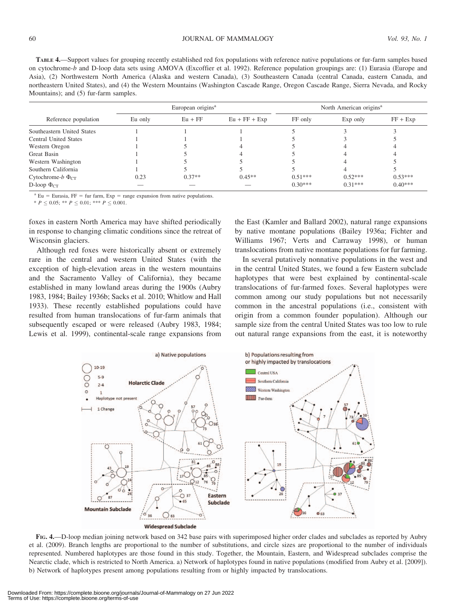TABLE 4.—Support values for grouping recently established red fox populations with reference native populations or fur-farm samples based on cytochrome-b and D-loop data sets using AMOVA (Excoffier et al. 1992). Reference population groupings are: (1) Eurasia (Europe and Asia), (2) Northwestern North America (Alaska and western Canada), (3) Southeastern Canada (central Canada, eastern Canada, and northeastern United States), and (4) the Western Mountains (Washington Cascade Range, Oregon Cascade Range, Sierra Nevada, and Rocky Mountains); and (5) fur-farm samples.

|                              |         | European origins <sup>a</sup> |                 |           | North American origins <sup>a</sup> |            |
|------------------------------|---------|-------------------------------|-----------------|-----------|-------------------------------------|------------|
| Reference population         | Eu only | $Eu + FF$                     | $Eu + FF + Exp$ | FF only   | Exp only                            | $FF + Exp$ |
| Southeastern United States   |         |                               |                 |           |                                     |            |
| <b>Central United States</b> |         |                               |                 |           |                                     |            |
| Western Oregon               |         |                               |                 |           |                                     |            |
| Great Basin                  |         |                               |                 |           |                                     |            |
| Western Washington           |         |                               |                 |           |                                     |            |
| Southern California          |         |                               |                 |           |                                     |            |
| Cytochrome- $b \Phi_{CT}$    | 0.23    | $0.37**$                      | $0.45**$        | $0.51***$ | $0.52***$                           | $0.53***$  |
| D-loop $\Phi_{CT}$           |         |                               |                 | $0.30***$ | $0.31***$                           | $0.40***$  |

<sup>a</sup> Eu = Eurasia, FF = fur farm, Exp = range expansion from native populations.

\*  $P \le 0.05$ ; \*\*  $P \le 0.01$ ; \*\*\*  $P \le 0.001$ .

foxes in eastern North America may have shifted periodically in response to changing climatic conditions since the retreat of Wisconsin glaciers.

Although red foxes were historically absent or extremely rare in the central and western United States (with the exception of high-elevation areas in the western mountains and the Sacramento Valley of California), they became established in many lowland areas during the 1900s (Aubry 1983, 1984; Bailey 1936b; Sacks et al. 2010; Whitlow and Hall 1933). These recently established populations could have resulted from human translocations of fur-farm animals that subsequently escaped or were released (Aubry 1983, 1984; Lewis et al. 1999), continental-scale range expansions from the East (Kamler and Ballard 2002), natural range expansions by native montane populations (Bailey 1936a; Fichter and Williams 1967; Verts and Carraway 1998), or human translocations from native montane populations for fur farming.

In several putatively nonnative populations in the west and in the central United States, we found a few Eastern subclade haplotypes that were best explained by continental-scale translocations of fur-farmed foxes. Several haplotypes were common among our study populations but not necessarily common in the ancestral populations (i.e., consistent with origin from a common founder population). Although our sample size from the central United States was too low to rule out natural range expansions from the east, it is noteworthy



FIG. 4.—D-loop median joining network based on 342 base pairs with superimposed higher order clades and subclades as reported by Aubry et al. (2009). Branch lengths are proportional to the number of substitutions, and circle sizes are proportional to the number of individuals represented. Numbered haplotypes are those found in this study. Together, the Mountain, Eastern, and Widespread subclades comprise the Nearctic clade, which is restricted to North America. a) Network of haplotypes found in native populations (modified from Aubry et al. [2009]). b) Network of haplotypes present among populations resulting from or highly impacted by translocations.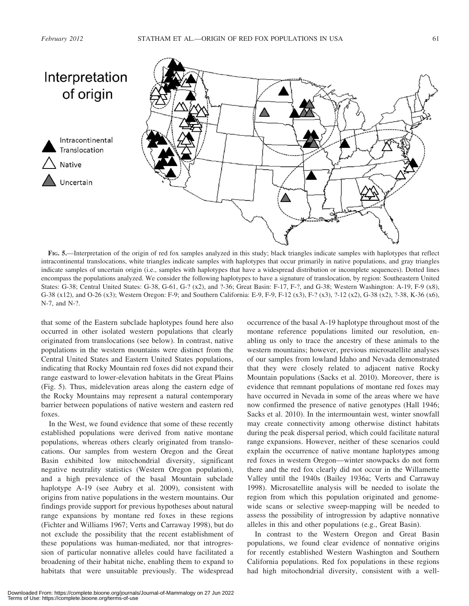

FIG. 5.—Interpretation of the origin of red fox samples analyzed in this study; black triangles indicate samples with haplotypes that reflect intracontinental translocations, white triangles indicate samples with haplotypes that occur primarily in native populations, and gray triangles indicate samples of uncertain origin (i.e., samples with haplotypes that have a widespread distribution or incomplete sequences). Dotted lines encompass the populations analyzed. We consider the following haplotypes to have a signature of translocation, by region: Southeastern United States: G-38; Central United States: G-38, G-61, G-? (x2), and ?-36; Great Basin: F-17, F-?, and G-38; Western Washington: A-19, F-9 (x8), G-38 (x12), and O-26 (x3); Western Oregon: F-9; and Southern California: E-9, F-9, F-12 (x3), F-? (x3), ?-12 (x2), G-38 (x2), ?-38, K-36 (x6), N-7, and N-?.

that some of the Eastern subclade haplotypes found here also occurred in other isolated western populations that clearly originated from translocations (see below). In contrast, native populations in the western mountains were distinct from the Central United States and Eastern United States populations, indicating that Rocky Mountain red foxes did not expand their range eastward to lower-elevation habitats in the Great Plains (Fig. 5). Thus, midelevation areas along the eastern edge of the Rocky Mountains may represent a natural contemporary barrier between populations of native western and eastern red foxes.

In the West, we found evidence that some of these recently established populations were derived from native montane populations, whereas others clearly originated from translocations. Our samples from western Oregon and the Great Basin exhibited low mitochondrial diversity, significant negative neutrality statistics (Western Oregon population), and a high prevalence of the basal Mountain subclade haplotype A-19 (see Aubry et al. 2009), consistent with origins from native populations in the western mountains. Our findings provide support for previous hypotheses about natural range expansions by montane red foxes in these regions (Fichter and Williams 1967; Verts and Carraway 1998), but do not exclude the possibility that the recent establishment of these populations was human-mediated, nor that introgression of particular nonnative alleles could have facilitated a broadening of their habitat niche, enabling them to expand to habitats that were unsuitable previously. The widespread occurrence of the basal A-19 haplotype throughout most of the montane reference populations limited our resolution, enabling us only to trace the ancestry of these animals to the western mountains; however, previous microsatellite analyses of our samples from lowland Idaho and Nevada demonstrated that they were closely related to adjacent native Rocky Mountain populations (Sacks et al. 2010). Moreover, there is evidence that remnant populations of montane red foxes may have occurred in Nevada in some of the areas where we have now confirmed the presence of native genotypes (Hall 1946; Sacks et al. 2010). In the intermountain west, winter snowfall may create connectivity among otherwise distinct habitats during the peak dispersal period, which could facilitate natural range expansions. However, neither of these scenarios could explain the occurrence of native montane haplotypes among red foxes in western Oregon—winter snowpacks do not form there and the red fox clearly did not occur in the Willamette Valley until the 1940s (Bailey 1936a; Verts and Carraway 1998). Microsatellite analysis will be needed to isolate the region from which this population originated and genomewide scans or selective sweep-mapping will be needed to assess the possibility of introgression by adaptive nonnative alleles in this and other populations (e.g., Great Basin).

In contrast to the Western Oregon and Great Basin populations, we found clear evidence of nonnative origins for recently established Western Washington and Southern California populations. Red fox populations in these regions had high mitochondrial diversity, consistent with a well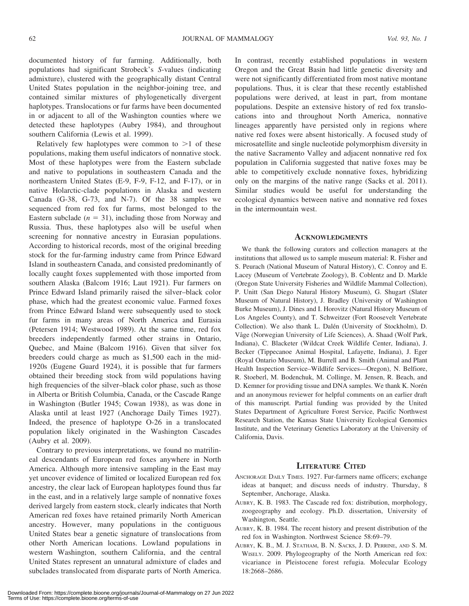documented history of fur farming. Additionally, both populations had significant Strobeck's S-values (indicating admixture), clustered with the geographically distant Central United States population in the neighbor-joining tree, and contained similar mixtures of phylogenetically divergent haplotypes. Translocations or fur farms have been documented in or adjacent to all of the Washington counties where we detected these haplotypes (Aubry 1984), and throughout southern California (Lewis et al. 1999).

Relatively few haplotypes were common to  $>1$  of these populations, making them useful indicators of nonnative stock. Most of these haplotypes were from the Eastern subclade and native to populations in southeastern Canada and the northeastern United States (E-9, F-9, F-12, and F-17), or in native Holarctic-clade populations in Alaska and western Canada (G-38, G-73, and N-7). Of the 38 samples we sequenced from red fox fur farms, most belonged to the Eastern subclade ( $n = 31$ ), including those from Norway and Russia. Thus, these haplotypes also will be useful when screening for nonnative ancestry in Eurasian populations. According to historical records, most of the original breeding stock for the fur-farming industry came from Prince Edward Island in southeastern Canada, and consisted predominantly of locally caught foxes supplemented with those imported from southern Alaska (Balcom 1916; Laut 1921). Fur farmers on Prince Edward Island primarily raised the silver–black color phase, which had the greatest economic value. Farmed foxes from Prince Edward Island were subsequently used to stock fur farms in many areas of North America and Eurasia (Petersen 1914; Westwood 1989). At the same time, red fox breeders independently farmed other strains in Ontario, Quebec, and Maine (Balcom 1916). Given that silver fox breeders could charge as much as \$1,500 each in the mid-1920s (Eugene Guard 1924), it is possible that fur farmers obtained their breeding stock from wild populations having high frequencies of the silver–black color phase, such as those in Alberta or British Columbia, Canada, or the Cascade Range in Washington (Butler 1945; Cowan 1938), as was done in Alaska until at least 1927 (Anchorage Daily Times 1927). Indeed, the presence of haplotype O-26 in a translocated population likely originated in the Washington Cascades (Aubry et al. 2009).

Contrary to previous interpretations, we found no matrilineal descendants of European red foxes anywhere in North America. Although more intensive sampling in the East may yet uncover evidence of limited or localized European red fox ancestry, the clear lack of European haplotypes found thus far in the east, and in a relatively large sample of nonnative foxes derived largely from eastern stock, clearly indicates that North American red foxes have retained primarily North American ancestry. However, many populations in the contiguous United States bear a genetic signature of translocations from other North American locations. Lowland populations in western Washington, southern California, and the central United States represent an unnatural admixture of clades and subclades translocated from disparate parts of North America. In contrast, recently established populations in western Oregon and the Great Basin had little genetic diversity and were not significantly differentiated from most native montane populations. Thus, it is clear that these recently established populations were derived, at least in part, from montane populations. Despite an extensive history of red fox translocations into and throughout North America, nonnative lineages apparently have persisted only in regions where native red foxes were absent historically. A focused study of microsatellite and single nucleotide polymorphism diversity in the native Sacramento Valley and adjacent nonnative red fox population in California suggested that native foxes may be able to competitively exclude nonnative foxes, hybridizing only on the margins of the native range (Sacks et al. 2011). Similar studies would be useful for understanding the ecological dynamics between native and nonnative red foxes in the intermountain west.

## **ACKNOWLEDGMENTS**

We thank the following curators and collection managers at the institutions that allowed us to sample museum material: R. Fisher and S. Peurach (National Museum of Natural History), C. Conroy and E. Lacey (Museum of Vertebrate Zoology), B. Coblentz and D. Markle (Oregon State University Fisheries and Wildlife Mammal Collection), P. Unitt (San Diego Natural History Museum), G. Shugart (Slater Museum of Natural History), J. Bradley (University of Washington Burke Museum), J. Dines and I. Horovitz (Natural History Museum of Los Angeles County), and T. Schweitzer (Fort Roosevelt Vertebrate Collection). We also thank L. Dalén (University of Stockholm), D. Våge (Norwegian University of Life Sciences), A. Shaad (Wolf Park, Indiana), C. Blacketer (Wildcat Creek Wildlife Center, Indiana), J. Becker (Tippecanoe Animal Hospital, Lafayette, Indiana), J. Eger (Royal Ontario Museum), M. Burrell and B. Smith (Animal and Plant Health Inspection Service–Wildlife Services—Oregon), N. Belfiore, R. Stoeberl, M. Bodenchuk, M. Collinge, M. Jensen, R. Beach, and D. Kemner for providing tissue and DNA samples. We thank K. Norén and an anonymous reviewer for helpful comments on an earlier draft of this manuscript. Partial funding was provided by the United States Department of Agriculture Forest Service, Pacific Northwest Research Station, the Kansas State University Ecological Genomics Institute, and the Veterinary Genetics Laboratory at the University of California, Davis.

## LITERATURE CITED

- ANCHORAGE DAILY TIMES. 1927. Fur-farmers name officers; exchange ideas at banquet; and discuss needs of industry. Thursday, 8 September, Anchorage, Alaska.
- AUBRY, K. B. 1983. The Cascade red fox: distribution, morphology, zoogeography and ecology. Ph.D. dissertation, University of Washington, Seattle.
- AUBRY, K. B. 1984. The recent history and present distribution of the red fox in Washington. Northwest Science 58:69–79.
- AUBRY, K. B., M. J. STATHAM, B. N. SACKS, J. D. PERRINE, AND S. M. WISELY. 2009. Phylogeography of the North American red fox: vicariance in Pleistocene forest refugia. Molecular Ecology 18:2668–2686.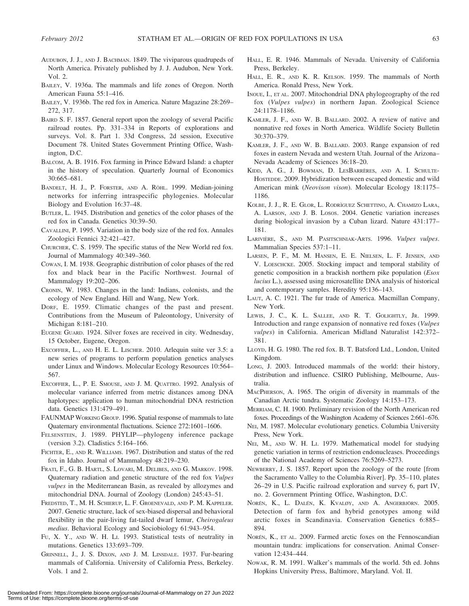- AUDUBON, J. J., AND J. BACHMAN. 1849. The viviparous quadrupeds of North America. Privately published by J. J. Audubon, New York. Vol. 2.
- BAILEY, V. 1936a. The mammals and life zones of Oregon. North American Fauna 55:1–416.
- BAILEY, V. 1936b. The red fox in America. Nature Magazine 28:269– 272, 317.
- BAIRD S. F. 1857. General report upon the zoology of several Pacific railroad routes. Pp. 331–334 in Reports of explorations and surveys. Vol. 8. Part 1. 33d Congress, 2d session, Executive Document 78. United States Government Printing Office, Washington, D.C.
- BALCOM, A. B. 1916. Fox farming in Prince Edward Island: a chapter in the history of speculation. Quarterly Journal of Economics 30:665–681.
- BANDELT, H. J., P. FORSTER, AND A. RÖHL. 1999. Median-joining networks for inferring intraspecific phylogenies. Molecular Biology and Evolution 16:37–48.
- BUTLER, L. 1945. Distribution and genetics of the color phases of the red fox in Canada. Genetics 30:39–50.
- CAVALLINI, P. 1995. Variation in the body size of the red fox. Annales Zoologici Fennici 32:421–427.
- CHURCHER, C. S. 1959. The specific status of the New World red fox. Journal of Mammalogy 40:349–360.
- COWAN, I. M. 1938. Geographic distribution of color phases of the red fox and black bear in the Pacific Northwest. Journal of Mammalogy 19:202–206.
- CRONIN, W. 1983. Changes in the land: Indians, colonists, and the ecology of New England. Hill and Wang, New York.
- DORF, E. 1959. Climatic changes of the past and present. Contributions from the Museum of Paleontology, University of Michigan 8:181–210.
- EUGENE GUARD. 1924. Silver foxes are received in city. Wednesday, 15 October, Eugene, Oregon.
- EXCOFFIER, L., AND H. E. L. LISCHER. 2010. Arlequin suite ver 3.5: a new series of programs to perform population genetics analyses under Linux and Windows. Molecular Ecology Resources 10:564– 567.
- EXCOFFIER, L., P. E. SMOUSE, AND J. M. QUATTRO. 1992. Analysis of molecular variance inferred from metric distances among DNA haplotypes: application to human mitochondrial DNA restriction data. Genetics 131:479–491.
- FAUNMAP WORKING GROUP. 1996. Spatial response of mammals to late Quaternary environmental fluctuations. Science 272:1601–1606.
- FELSENSTEIN, J. 1989. PHYLIP—phylogeny inference package (version 3.2). Cladistics 5:164–166.
- FICHTER, E., AND R. WILLIAMS. 1967. Distribution and status of the red fox in Idaho. Journal of Mammalogy 48:219–230.
- FRATI, F., G. B. HARTL, S. LOVARI, M. DELIBES, AND G. MARKOV. 1998. Quaternary radiation and genetic structure of the red fox Vulpes vulpes in the Mediterranean Basin, as revealed by allozymes and mitochondrial DNA. Journal of Zoology (London) 245:43–51.
- FREDSTED, T., M. H. SCHIERUP, L. F. GROENEVALD, AND P. M. KAPPELER. 2007. Genetic structure, lack of sex-biased dispersal and behavioral flexibility in the pair-living fat-tailed dwarf lemur, *Cheirogaleus* medius. Behavioral Ecology and Sociobiology 61:943–954.
- FU, X. Y., AND W. H. LI. 1993. Statistical tests of neutrality in mutations. Genetics 133:693–709.
- GRINNELL, J., J. S. DIXON, AND J. M. LINSDALE. 1937. Fur-bearing mammals of California. University of California Press, Berkeley. Vols. 1 and 2.
- HALL, E. R. 1946. Mammals of Nevada. University of California Press, Berkeley.
- HALL, E. R., AND K. R. KELSON. 1959. The mammals of North America. Ronald Press, New York.
- INOUE, I., ET AL. 2007. Mitochondrial DNA phylogeography of the red fox (Vulpes vulpes) in northern Japan. Zoological Science 24:1178–1186.
- KAMLER, J. F., AND W. B. BALLARD. 2002. A review of native and nonnative red foxes in North America. Wildlife Society Bulletin 30:370–379.
- KAMLER, J. F., AND W. B. BALLARD. 2003. Range expansion of red foxes in eastern Nevada and western Utah. Journal of the Arizona– Nevada Academy of Sciences 36:18–20.
- KIDD, A. G., J. BOWMAN, D. LESBARRÈRES, AND A. I. SCHULTE-HOSTEDDE. 2009. Hybridization between escaped domestic and wild American mink (Neovison vison). Molecular Ecology 18:1175– 1186.
- KOLBE, J. J., R. E. GLOR, L. RODRIGUEZ SCHETTINO, A. CHAMIZO LARA, A. LARSON, AND J. B. LOSOS. 2004. Genetic variation increases during biological invasion by a Cuban lizard. Nature 431:177– 181.
- LARIVIÈRE, S., AND M. PASITSCHNIAK-ARTS. 1996. Vulpes vulpes. Mammalian Species 537:1–11.
- LARSEN, P. F., M. M. HANSEN, E. E. NIELSEN, L. F. JENSEN, AND V. LOESCHCKE. 2005. Stocking impact and temporal stability of genetic composition in a brackish northern pike population (Esox lucius L.), assessed using microsatellite DNA analysis of historical and contemporary samples. Heredity 95:136–143.
- LAUT, A. C. 1921. The fur trade of America. Macmillan Company, New York.
- LEWIS, J. C., K. L. SALLEE, AND R. T. GOLIGHTLY, JR. 1999. Introduction and range expansion of nonnative red foxes (Vulpes vulpes) in California. American Midland Naturalist 142:372– 381.
- LLOYD, H. G. 1980. The red fox. B. T. Batsford Ltd., London, United Kingdom.
- LONG, J. 2003. Introduced mammals of the world: their history, distribution and influence. CSIRO Publishing, Melbourne, Australia.
- MACPHERSON, A. 1965. The origin of diversity in mammals of the Canadian Arctic tundra. Systematic Zoology 14:153–173.
- MERRIAM, C. H. 1900. Preliminary revision of the North American red foxes. Proceedings of the Washington Academy of Sciences 2:661–676.
- NEI, M. 1987. Molecular evolutionary genetics. Columbia University Press, New York.
- NEI, M., AND W. H. LI. 1979. Mathematical model for studying genetic variation in terms of restriction endonucleases. Proceedings of the National Academy of Sciences 76:5269–5273.
- NEWBERRY, J. S. 1857. Report upon the zoology of the route [from the Sacramento Valley to the Columbia River]. Pp. 35–110, plates 26–29 in U.S. Pacific railroad exploration and survey 6, part IV, no. 2. Government Printing Office, Washington, D.C.
- NORÉN, K., L. DALÉN, K. KVALØY, AND A. ANGERBJÖRN. 2005. Detection of farm fox and hybrid genotypes among wild arctic foxes in Scandinavia. Conservation Genetics 6:885– 894.
- NORÉN, K., ET AL. 2009. Farmed arctic foxes on the Fennoscandian mountain tundra: implications for conservation. Animal Conservation 12:434–444.
- NOWAK, R. M. 1991. Walker's mammals of the world. 5th ed. Johns Hopkins University Press, Baltimore, Maryland. Vol. II.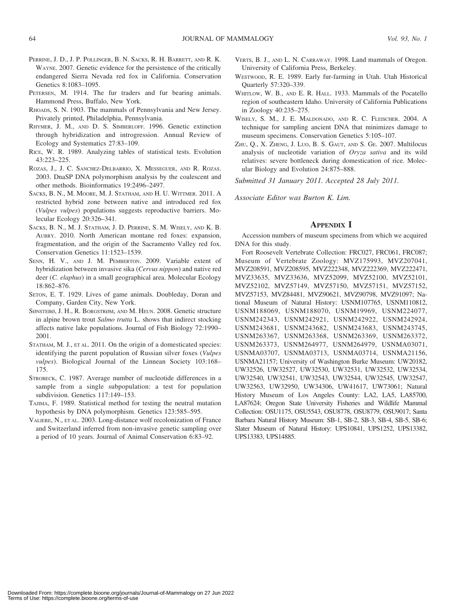- PERRINE, J. D., J. P. POLLINGER, B. N. SACKS, R. H. BARRETT, AND R. K. WAYNE. 2007. Genetic evidence for the persistence of the critically endangered Sierra Nevada red fox in California. Conservation Genetics 8:1083–1095.
- PETERSEN, M. 1914. The fur traders and fur bearing animals. Hammond Press, Buffalo, New York.
- RHOADS, S. N. 1903. The mammals of Pennsylvania and New Jersey. Privately printed, Philadelphia, Pennsylvania.
- RHYMER, J. M., AND D. S. SIMBERLOFF. 1996. Genetic extinction through hybridization and introgression. Annual Review of Ecology and Systematics 27:83–109.
- RICE, W. R. 1989. Analyzing tables of statistical tests. Evolution 43:223–225.
- ROZAS, J., J. C. SANCHEZ-DELBARRIO, X. MESSEGUER, AND R. ROZAS. 2003. DnaSP DNA polymorphism analysis by the coalescent and other methods. Bioinformatics 19:2496–2497.
- SACKS, B. N., M. MOORE, M. J. STATHAM, AND H. U. WITTMER. 2011. A restricted hybrid zone between native and introduced red fox (Vulpes vulpes) populations suggests reproductive barriers. Molecular Ecology 20:326–341.
- SACKS, B. N., M. J. STATHAM, J. D. PERRINE, S. M. WISELY, AND K. B. AUBRY. 2010. North American montane red foxes: expansion, fragmentation, and the origin of the Sacramento Valley red fox. Conservation Genetics 11:1523–1539.
- SENN, H. V., AND J. M. PEMBERTON. 2009. Variable extent of hybridization between invasive sika (Cervus nippon) and native red deer (C. elaphus) in a small geographical area. Molecular Ecology 18:862–876.
- SETON, E. T. 1929. Lives of game animals. Doubleday, Doran and Company, Garden City, New York.
- SØNSTEBØ, J. H., R. BORGSTRØM, AND M. HEUN. 2008. Genetic structure in alpine brown trout Salmo trutta L. shows that indirect stocking affects native lake populations. Journal of Fish Biology 72:1990– 2001.
- STATHAM, M. J., ET AL. 2011. On the origin of a domesticated species: identifying the parent population of Russian silver foxes (Vulpes vulpes). Biological Journal of the Linnean Society 103:168– 175.
- STROBECK, C. 1987. Average number of nucleotide differences in a sample from a single subpopulation: a test for population subdivision. Genetics 117:149–153.
- TAJIMA, F. 1989. Statistical method for testing the neutral mutation hypothesis by DNA polymorphism. Genetics 123:585–595.
- VALIERE, N., ET AL. 2003. Long-distance wolf recolonization of France and Switzerland inferred from non-invasive genetic sampling over a period of 10 years. Journal of Animal Conservation 6:83–92.
- VERTS, B. J., AND L. N. CARRAWAY. 1998. Land mammals of Oregon. University of California Press, Berkeley.
- WESTWOOD, R. E. 1989. Early fur-farming in Utah. Utah Historical Quarterly 57:320–339.
- WHITLOW, W. B., AND E. R. HALL. 1933. Mammals of the Pocatello region of southeastern Idaho. University of California Publications in Zoology 40:235–275.
- WISELY, S. M., J. E. MALDONADO, AND R. C. FLEISCHER. 2004. A technique for sampling ancient DNA that minimizes damage to museum specimens. Conservation Genetics 5:105–107.
- ZHU, Q., X. ZHENG, J. LUO, B. S. GAUT, AND S. GE. 2007. Multilocus analysis of nucleotide variation of Oryza sativa and its wild relatives: severe bottleneck during domestication of rice. Molecular Biology and Evolution 24:875–888.

Submitted 31 January 2011. Accepted 28 July 2011.

Associate Editor was Burton K. Lim.

# **APPENDIX I**

Accession numbers of museum specimens from which we acquired DNA for this study.

Fort Roosevelt Vertebrate Collection: FRC027, FRC061, FRC087; Museum of Vertebrate Zoology: MVZ175993, MVZ207041, MVZ208591, MVZ208595, MVZ222348, MVZ222369, MVZ222471, MVZ33635, MVZ33636, MVZ52099, MVZ52100, MVZ52101, MVZ52102, MVZ57149, MVZ57150, MVZ57151, MVZ57152, MVZ57153, MVZ84481, MVZ90621, MVZ90798, MVZ91097; National Museum of Natural History: USNM107765, USNM110812, USNM188069, USNM188070, USNM19969, USNM224077, USNM242343, USNM242921, USNM242922, USNM242924, USNM243681, USNM243682, USNM243683, USNM243745, USNM263367, USNM263368, USNM263369, USNM263372, USNM263373, USNM264977, USNM264979, USNMA03071, USNMA03707, USNMA03713, USNMA03714, USNMA21156, USNMA21157; University of Washington Burke Museum: UW20182, UW32526, UW32527, UW32530, UW32531, UW32532, UW32534, UW32540, UW32541, UW32543, UW32544, UW32545, UW32547, UW32563, UW32950, UW34306, UW41617, UW73061; Natural History Museum of Los Angeles County: LA2, LA5, LA85700, LA87624; Oregon State University Fisheries and Wildlife Mammal Collection: OSU1175, OSU5543, OSU8778, OSU8779, OSU9017; Santa Barbara Natural History Museum: SB-1, SB-2, SB-3, SB-4, SB-5, SB-6; Slater Museum of Natural History: UPS10841, UPS1252, UPS13382, UPS13383, UPS14885.